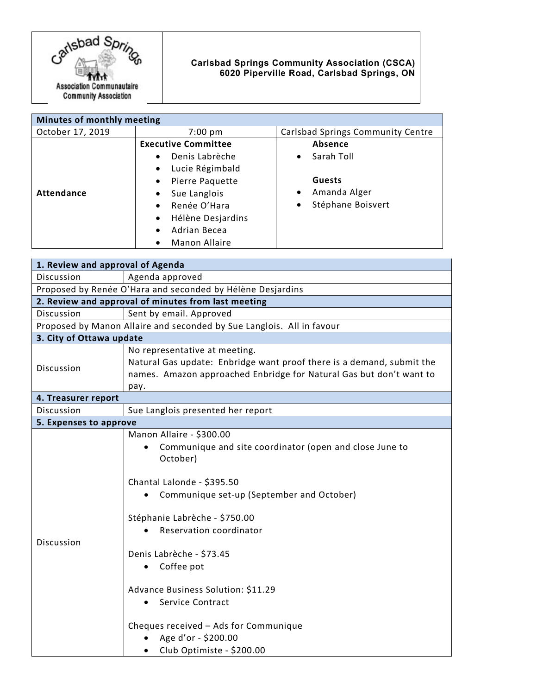

## **Carlsbad Springs Community Association (CSCA) 6020 Piperville Road, Carlsbad Springs, ON**

| Minutes of monthly meeting |                                |                                   |
|----------------------------|--------------------------------|-----------------------------------|
| October 17, 2019           | $7:00 \text{ pm}$              | Carlsbad Springs Community Centre |
|                            | <b>Executive Committee</b>     | <b>Absence</b>                    |
|                            | Denis Labrèche<br>$\bullet$    | Sarah Toll<br>$\bullet$           |
|                            | Lucie Régimbald<br>$\bullet$   |                                   |
|                            | Pierre Paquette<br>$\bullet$   | <b>Guests</b>                     |
| <b>Attendance</b>          | Sue Langlois<br>$\bullet$      | Amanda Alger                      |
|                            | Renée O'Hara<br>$\bullet$      | Stéphane Boisvert<br>$\bullet$    |
|                            | Hélène Desjardins<br>$\bullet$ |                                   |
|                            | Adrian Becea<br>$\bullet$      |                                   |
|                            | Manon Allaire                  |                                   |

| 1. Review and approval of Agenda                                      |                                                                                                                                                                                                                                                                                                                                                                                                                                             |  |
|-----------------------------------------------------------------------|---------------------------------------------------------------------------------------------------------------------------------------------------------------------------------------------------------------------------------------------------------------------------------------------------------------------------------------------------------------------------------------------------------------------------------------------|--|
| Discussion                                                            | Agenda approved                                                                                                                                                                                                                                                                                                                                                                                                                             |  |
| Proposed by Renée O'Hara and seconded by Hélène Desjardins            |                                                                                                                                                                                                                                                                                                                                                                                                                                             |  |
| 2. Review and approval of minutes from last meeting                   |                                                                                                                                                                                                                                                                                                                                                                                                                                             |  |
| Discussion                                                            | Sent by email. Approved                                                                                                                                                                                                                                                                                                                                                                                                                     |  |
| Proposed by Manon Allaire and seconded by Sue Langlois. All in favour |                                                                                                                                                                                                                                                                                                                                                                                                                                             |  |
| 3. City of Ottawa update                                              |                                                                                                                                                                                                                                                                                                                                                                                                                                             |  |
| Discussion                                                            | No representative at meeting.<br>Natural Gas update: Enbridge want proof there is a demand, submit the<br>names. Amazon approached Enbridge for Natural Gas but don't want to<br>pay.                                                                                                                                                                                                                                                       |  |
| 4. Treasurer report                                                   |                                                                                                                                                                                                                                                                                                                                                                                                                                             |  |
| Discussion                                                            | Sue Langlois presented her report                                                                                                                                                                                                                                                                                                                                                                                                           |  |
| 5. Expenses to approve                                                |                                                                                                                                                                                                                                                                                                                                                                                                                                             |  |
| Discussion                                                            | Manon Allaire - \$300.00<br>Communique and site coordinator (open and close June to<br>October)<br>Chantal Lalonde - \$395.50<br>Communique set-up (September and October)<br>Stéphanie Labrèche - \$750.00<br><b>Reservation coordinator</b><br>Denis Labrèche - \$73.45<br>Coffee pot<br>$\bullet$<br>Advance Business Solution: \$11.29<br>Service Contract<br>$\bullet$<br>Cheques received - Ads for Communique<br>Age d'or - \$200.00 |  |